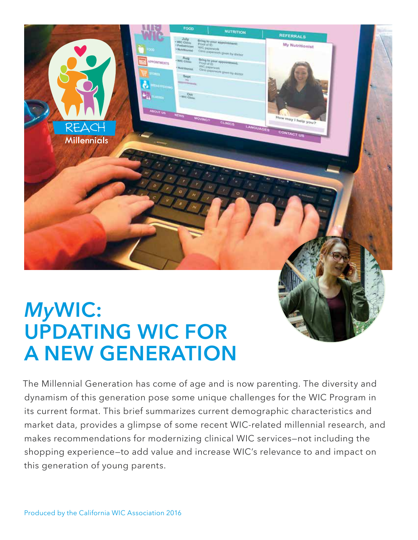

# *My***WIC: UPDATING WIC FOR A NEW GENERATION**

The Millennial Generation has come of age and is now parenting. The diversity and dynamism of this generation pose some unique challenges for the WIC Program in its current format. This brief summarizes current demographic characteristics and market data, provides a glimpse of some recent WIC-related millennial research, and makes recommendations for modernizing clinical WIC services—not including the shopping experience—to add value and increase WIC's relevance to and impact on this generation of young parents.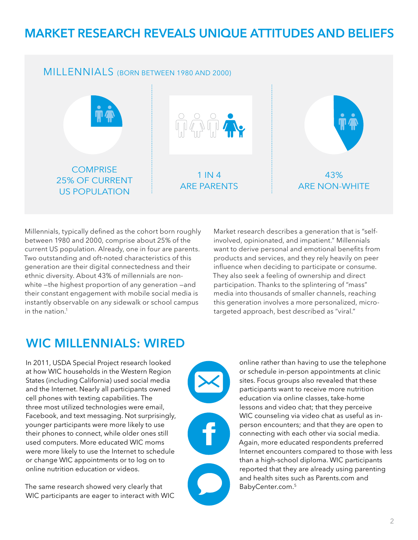### **MARKET RESEARCH REVEALS UNIQUE ATTITUDES AND BELIEFS**

#### MILLENNIALS (BORN BETWEEN 1980 AND 2000)



Millennials, typically defined as the cohort born roughly between 1980 and 2000, comprise about 25% of the current US population. Already, one in four are parents. Two outstanding and oft-noted characteristics of this generation are their digital connectedness and their ethnic diversity. About 43% of millennials are nonwhite —the highest proportion of any generation —and their constant engagement with mobile social media is instantly observable on any sidewalk or school campus in the nation.<sup>1</sup>

Market research describes a generation that is "selfinvolved, opinionated, and impatient." Millennials want to derive personal and emotional benefits from products and services, and they rely heavily on peer influence when deciding to participate or consume. They also seek a feeling of ownership and direct participation. Thanks to the splintering of "mass" media into thousands of smaller channels, reaching this generation involves a more personalized, microtargeted approach, best described as "viral."

#### **WIC MILLENNIALS: WIRED**

In 2011, USDA Special Project research looked at how WIC households in the Western Region States (including California) used social media and the Internet. Nearly all participants owned cell phones with texting capabilities. The three most utilized technologies were email, Facebook, and text messaging. Not surprisingly, younger participants were more likely to use their phones to connect, while older ones still used computers. More educated WIC moms were more likely to use the Internet to schedule or change WIC appointments or to log on to online nutrition education or videos.

The same research showed very clearly that WIC participants are eager to interact with WIC



online rather than having to use the telephone or schedule in-person appointments at clinic sites. Focus groups also revealed that these participants want to receive more nutrition education via online classes, take-home lessons and video chat; that they perceive WIC counseling via video chat as useful as inperson encounters; and that they are open to connecting with each other via social media. Again, more educated respondents preferred Internet encounters compared to those with less than a high-school diploma. WIC participants reported that they are already using parenting and health sites such as Parents.com and BabyCenter.com.5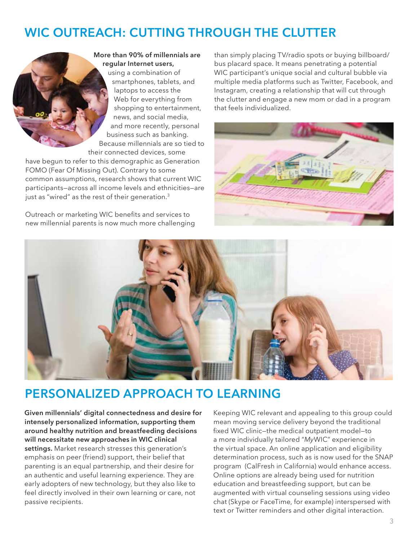## **WIC OUTREACH: CUTTING THROUGH THE CLUTTER**

**More than 90% of millennials are regular Internet users,**  using a combination of smartphones, tablets, and laptops to access the Web for everything from shopping to entertainment, news, and social media, and more recently, personal business such as banking. Because millennials are so tied to their connected devices, some

have begun to refer to this demographic as Generation FOMO (Fear Of Missing Out). Contrary to some common assumptions, research shows that current WIC participants—across all income levels and ethnicities—are just as "wired" as the rest of their generation.<sup>3</sup>

Outreach or marketing WIC benefits and services to new millennial parents is now much more challenging

than simply placing TV/radio spots or buying billboard/ bus placard space. It means penetrating a potential WIC participant's unique social and cultural bubble via multiple media platforms such as Twitter, Facebook, and Instagram, creating a relationship that will cut through the clutter and engage a new mom or dad in a program that feels individualized.





### **PERSONALIZED APPROACH TO LEARNING**

**Given millennials' digital connectedness and desire for intensely personalized information, supporting them around healthy nutrition and breastfeeding decisions will necessitate new approaches in WIC clinical settings.** Market research stresses this generation's emphasis on peer (friend) support, their belief that parenting is an equal partnership, and their desire for an authentic and useful learning experience. They are early adopters of new technology, but they also like to feel directly involved in their own learning or care, not passive recipients.

Keeping WIC relevant and appealing to this group could mean moving service delivery beyond the traditional fixed WIC clinic—the medical outpatient model—to a more individually tailored "*My*WIC" experience in the virtual space. An online application and eligibility determination process, such as is now used for the SNAP program (CalFresh in California) would enhance access. Online options are already being used for nutrition education and breastfeeding support, but can be augmented with virtual counseling sessions using video chat (Skype or FaceTime, for example) interspersed with text or Twitter reminders and other digital interaction.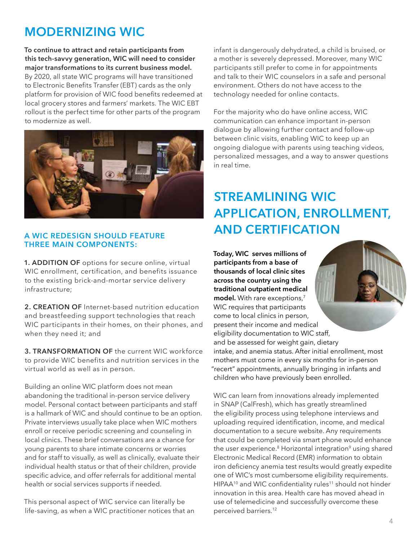### **MODERNIZING WIC**

**To continue to attract and retain participants from this tech-savvy generation, WIC will need to consider major transformations to its current business model.** By 2020, all state WIC programs will have transitioned to Electronic Benefits Transfer (EBT) cards as the only platform for provision of WIC food benefits redeemed at local grocery stores and farmers' markets. The WIC EBT rollout is the perfect time for other parts of the program to modernize as well.



#### **A WIC REDESIGN SHOULD FEATURE THREE MAIN COMPONENTS:**

**1. ADDITION OF** options for secure online, virtual WIC enrollment, certification, and benefits issuance to the existing brick-and-mortar service delivery infrastructure;

**2. CREATION OF** Internet-based nutrition education and breastfeeding support technologies that reach WIC participants in their homes, on their phones, and when they need it; and

**3. TRANSFORMATION OF** the current WIC workforce to provide WIC benefits and nutrition services in the virtual world as well as in person.

Building an online WIC platform does not mean abandoning the traditional in-person service delivery model. Personal contact between participants and staff is a hallmark of WIC and should continue to be an option. Private interviews usually take place when WIC mothers enroll or receive periodic screening and counseling in local clinics. These brief conversations are a chance for young parents to share intimate concerns or worries and for staff to visually, as well as clinically, evaluate their individual health status or that of their children, provide specific advice, and offer referrals for additional mental health or social services supports if needed.

This personal aspect of WIC service can literally be life-saving, as when a WIC practitioner notices that an infant is dangerously dehydrated, a child is bruised, or a mother is severely depressed. Moreover, many WIC participants still prefer to come in for appointments and talk to their WIC counselors in a safe and personal environment. Others do not have access to the technology needed for online contacts.

For the majority who do have online access, WIC communication can enhance important in-person dialogue by allowing further contact and follow-up between clinic visits, enabling WIC to keep up an ongoing dialogue with parents using teaching videos, personalized messages, and a way to answer questions in real time.

# **STREAMLINING WIC APPLICATION, ENROLLMENT, AND CERTIFICATION**

**Today, WIC serves millions of participants from a base of thousands of local clinic sites across the country using the traditional outpatient medical**  model. With rare exceptions,<sup>7</sup> WIC requires that participants come to local clinics in person, present their income and medical eligibility documentation to WIC staff, and be assessed for weight gain, dietary intake, and anemia status. After initial enrollment, most mothers must come in every six months for in-person "recert" appointments, annually bringing in infants and children who have previously been enrolled.

WIC can learn from innovations already implemented in SNAP (CalFresh), which has greatly streamlined the eligibility process using telephone interviews and uploading required identification, income, and medical documentation to a secure website. Any requirements that could be completed via smart phone would enhance the user experience.<sup>8</sup> Horizontal integration<sup>9</sup> using shared Electronic Medical Record (EMR) information to obtain iron deficiency anemia test results would greatly expedite one of WIC's most cumbersome eligibility requirements. HIPAA<sup>10</sup> and WIC confidentiality rules<sup>11</sup> should not hinder innovation in this area. Health care has moved ahead in use of telemedicine and successfully overcome these perceived barriers.12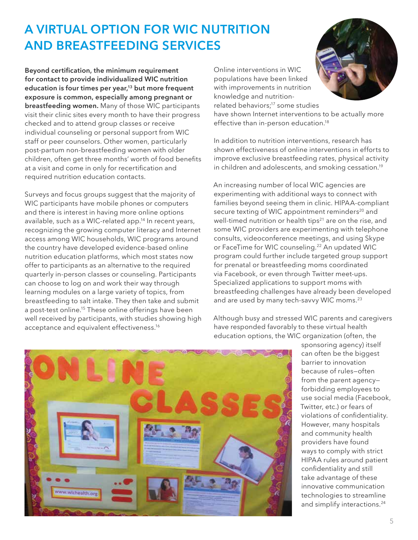# **A VIRTUAL OPTION FOR WIC NUTRITION AND BREASTFEEDING SERVICES**

**Beyond certification, the minimum requirement for contact to provide individualized WIC nutrition education is four times per year,13 but more frequent exposure is common, especially among pregnant or breastfeeding women.** Many of those WIC participants visit their clinic sites every month to have their progress checked and to attend group classes or receive individual counseling or personal support from WIC staff or peer counselors. Other women, particularly post-partum non-breastfeeding women with older children, often get three months' worth of food benefits at a visit and come in only for recertification and required nutrition education contacts.

Surveys and focus groups suggest that the majority of WIC participants have mobile phones or computers and there is interest in having more online options available, such as a WIC-related app.14 In recent years, recognizing the growing computer literacy and Internet access among WIC households, WIC programs around the country have developed evidence-based online nutrition education platforms, which most states now offer to participants as an alternative to the required quarterly in-person classes or counseling. Participants can choose to log on and work their way through learning modules on a large variety of topics, from breastfeeding to salt intake. They then take and submit a post-test online.<sup>15</sup> These online offerings have been well received by participants, with studies showing high acceptance and equivalent effectiveness.<sup>16</sup>

Online interventions in WIC populations have been linked with improvements in nutrition knowledge and nutritionrelated behaviors;<sup>17</sup> some studies

have shown Internet interventions to be actually more effective than in-person education.<sup>18</sup>

In addition to nutrition interventions, research has shown effectiveness of online interventions in efforts to improve exclusive breastfeeding rates, physical activity in children and adolescents, and smoking cessation.<sup>19</sup>

An increasing number of local WIC agencies are experimenting with additional ways to connect with families beyond seeing them in clinic. HIPAA-compliant secure texting of WIC appointment reminders<sup>20</sup> and well-timed nutrition or health tips<sup>21</sup> are on the rise, and some WIC providers are experimenting with telephone consults, videoconference meetings, and using Skype or FaceTime for WIC counseling.<sup>22</sup> An updated WIC program could further include targeted group support for prenatal or breastfeeding moms coordinated via Facebook, or even through Twitter meet-ups. Specialized applications to support moms with breastfeeding challenges have already been developed and are used by many tech-savvy WIC moms.<sup>23</sup>

Although busy and stressed WIC parents and caregivers have responded favorably to these virtual health education options, the WIC organization (often, the



sponsoring agency) itself can often be the biggest barrier to innovation because of rules—often from the parent agency forbidding employees to use social media (Facebook, Twitter, etc.) or fears of violations of confidentiality. However, many hospitals and community health providers have found ways to comply with strict HIPAA rules around patient confidentiality and still take advantage of these innovative communication technologies to streamline and simplify interactions.<sup>24</sup>



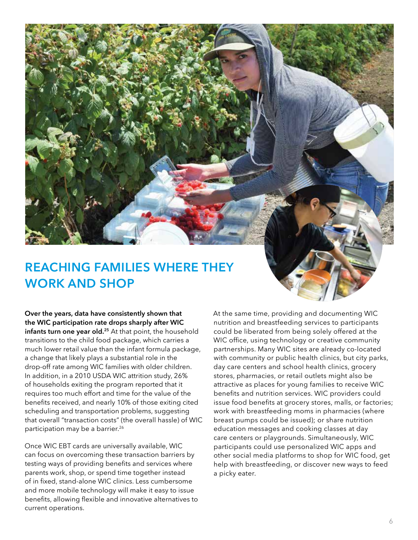### **REACHING FAMILIES WHERE THEY WORK AND SHOP**

**Over the years, data have consistently shown that the WIC participation rate drops sharply after WIC infants turn one year old.<sup>25</sup>** At that point, the household transitions to the child food package, which carries a much lower retail value than the infant formula package, a change that likely plays a substantial role in the drop-off rate among WIC families with older children. In addition, in a 2010 USDA WIC attrition study, 26% of households exiting the program reported that it requires too much effort and time for the value of the benefits received, and nearly 10% of those exiting cited scheduling and transportation problems, suggesting that overall "transaction costs" (the overall hassle) of WIC participation may be a barrier.<sup>26</sup>

Once WIC EBT cards are universally available, WIC can focus on overcoming these transaction barriers by testing ways of providing benefits and services where parents work, shop, or spend time together instead of in fixed, stand-alone WIC clinics. Less cumbersome and more mobile technology will make it easy to issue benefits, allowing flexible and innovative alternatives to current operations.

At the same time, providing and documenting WIC nutrition and breastfeeding services to participants could be liberated from being solely offered at the WIC office, using technology or creative community partnerships. Many WIC sites are already co-located with community or public health clinics, but city parks, day care centers and school health clinics, grocery stores, pharmacies, or retail outlets might also be attractive as places for young families to receive WIC benefits and nutrition services. WIC providers could issue food benefits at grocery stores, malls, or factories; work with breastfeeding moms in pharmacies (where breast pumps could be issued); or share nutrition education messages and cooking classes at day care centers or playgrounds. Simultaneously, WIC participants could use personalized WIC apps and other social media platforms to shop for WIC food, get help with breastfeeding, or discover new ways to feed a picky eater.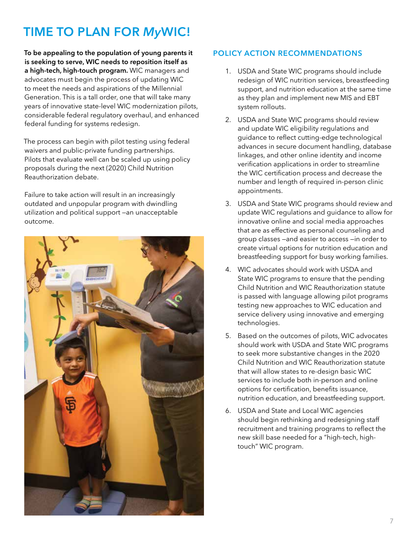# **TIME TO PLAN FOR** *My***WIC!**

**To be appealing to the population of young parents it is seeking to serve, WIC needs to reposition itself as a high-tech, high-touch program.** WIC managers and advocates must begin the process of updating WIC to meet the needs and aspirations of the Millennial Generation. This is a tall order, one that will take many years of innovative state-level WIC modernization pilots, considerable federal regulatory overhaul, and enhanced federal funding for systems redesign.

The process can begin with pilot testing using federal waivers and public-private funding partnerships. Pilots that evaluate well can be scaled up using policy proposals during the next (2020) Child Nutrition Reauthorization debate.

Failure to take action will result in an increasingly outdated and unpopular program with dwindling utilization and political support —an unacceptable outcome.



#### **POLICY ACTION RECOMMENDATIONS**

- 1. USDA and State WIC programs should include redesign of WIC nutrition services, breastfeeding support, and nutrition education at the same time as they plan and implement new MIS and EBT system rollouts.
- 2. USDA and State WIC programs should review and update WIC eligibility regulations and guidance to reflect cutting-edge technological advances in secure document handling, database linkages, and other online identity and income verification applications in order to streamline the WIC certification process and decrease the number and length of required in-person clinic appointments.
- 3. USDA and State WIC programs should review and update WIC regulations and guidance to allow for innovative online and social media approaches that are as effective as personal counseling and group classes —and easier to access —in order to create virtual options for nutrition education and breastfeeding support for busy working families.
- 4. WIC advocates should work with USDA and State WIC programs to ensure that the pending Child Nutrition and WIC Reauthorization statute is passed with language allowing pilot programs testing new approaches to WIC education and service delivery using innovative and emerging technologies.
- 5. Based on the outcomes of pilots, WIC advocates should work with USDA and State WIC programs to seek more substantive changes in the 2020 Child Nutrition and WIC Reauthorization statute that will allow states to re-design basic WIC services to include both in-person and online options for certification, benefits issuance, nutrition education, and breastfeeding support.
- 6. USDA and State and Local WIC agencies should begin rethinking and redesigning staff recruitment and training programs to reflect the new skill base needed for a "high-tech, hightouch" WIC program.